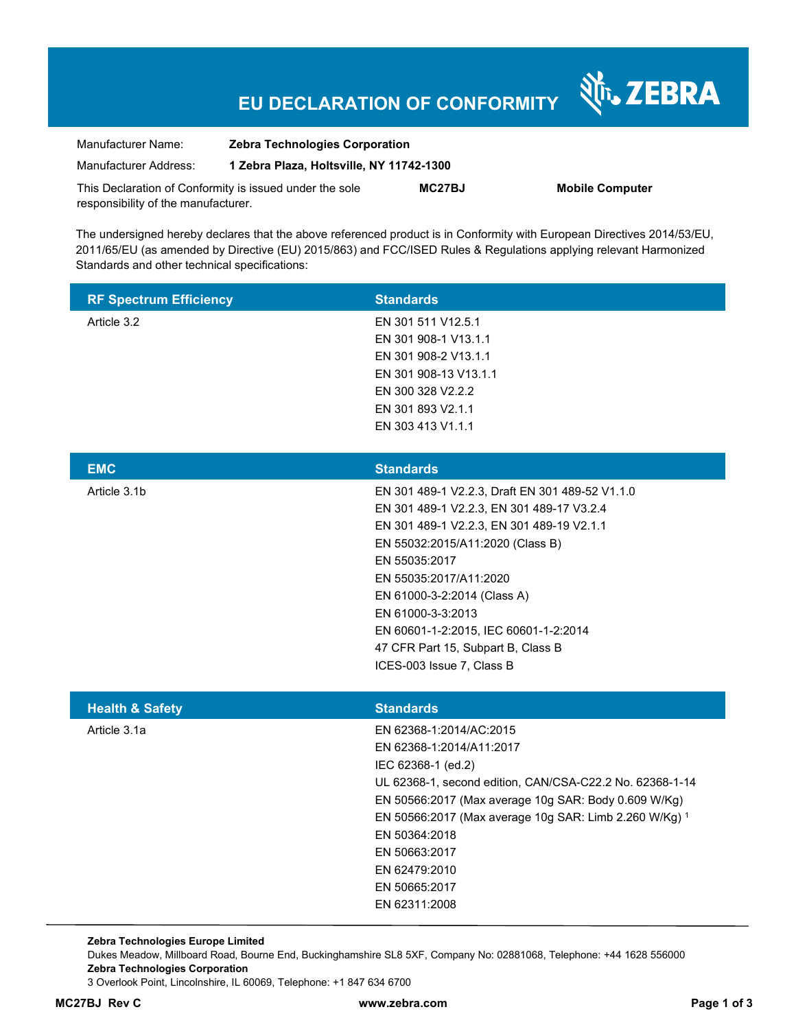# **EU DECLARATION OF CONFORMITY**

Nr. ZEBRA

| Manufacturer Name:                                      | <b>Zebra Technologies Corporation</b>    |               |                        |
|---------------------------------------------------------|------------------------------------------|---------------|------------------------|
| Manufacturer Address:                                   | 1 Zebra Plaza, Holtsville, NY 11742-1300 |               |                        |
| This Declaration of Conformity is issued under the sole |                                          | <b>MC27BJ</b> | <b>Mobile Computer</b> |
| responsibility of the manufacturer.                     |                                          |               |                        |

The undersigned hereby declares that the above referenced product is in Conformity with European Directives 2014/53/EU, 2011/65/EU (as amended by Directive (EU) 2015/863) and FCC/ISED Rules & Regulations applying relevant Harmonized Standards and other technical specifications:

| <b>RF Spectrum Efficiency</b> | <b>Standards</b>                                                                                                                                                                                                                                                                                                                                                                         |
|-------------------------------|------------------------------------------------------------------------------------------------------------------------------------------------------------------------------------------------------------------------------------------------------------------------------------------------------------------------------------------------------------------------------------------|
| Article 3.2                   | EN 301 511 V12.5.1<br>EN 301 908-1 V13.1.1<br>EN 301 908-2 V13.1.1<br>EN 301 908-13 V13.1.1<br>EN 300 328 V2.2.2<br>EN 301 893 V2.1.1<br>EN 303 413 V1.1.1                                                                                                                                                                                                                               |
| <b>EMC</b>                    | <b>Standards</b>                                                                                                                                                                                                                                                                                                                                                                         |
| Article 3.1b                  | EN 301 489-1 V2.2.3, Draft EN 301 489-52 V1.1.0<br>EN 301 489-1 V2.2.3, EN 301 489-17 V3.2.4<br>EN 301 489-1 V2.2.3, EN 301 489-19 V2.1.1<br>EN 55032:2015/A11:2020 (Class B)<br>EN 55035:2017<br>EN 55035:2017/A11:2020<br>EN 61000-3-2:2014 (Class A)<br>EN 61000-3-3:2013<br>EN 60601-1-2:2015, IEC 60601-1-2:2014<br>47 CFR Part 15, Subpart B, Class B<br>ICES-003 Issue 7, Class B |
| <b>Health &amp; Safety</b>    | <b>Standards</b>                                                                                                                                                                                                                                                                                                                                                                         |
| Article 3.1a                  | EN 62368-1:2014/AC:2015<br>EN 62368-1:2014/A11:2017<br>IEC 62368-1 (ed.2)<br>UL 62368-1, second edition, CAN/CSA-C22.2 No. 62368-1-14<br>EN 50566:2017 (Max average 10g SAR: Body 0.609 W/Kg)<br>EN 50566:2017 (Max average 10g SAR: Limb 2.260 W/Kg) 1<br>EN 50364:2018<br>EN 50663:2017<br>EN 62479:2010<br>EN 50665:2017<br>EN 62311:2008                                             |

**Zebra Technologies Europe Limited**  Dukes Meadow, Millboard Road, Bourne End, Buckinghamshire SL8 5XF, Company No: 02881068, Telephone: +44 1628 556000 **Zebra Technologies Corporation**  3 Overlook Point, Lincolnshire, IL 60069, Telephone: +1 847 634 6700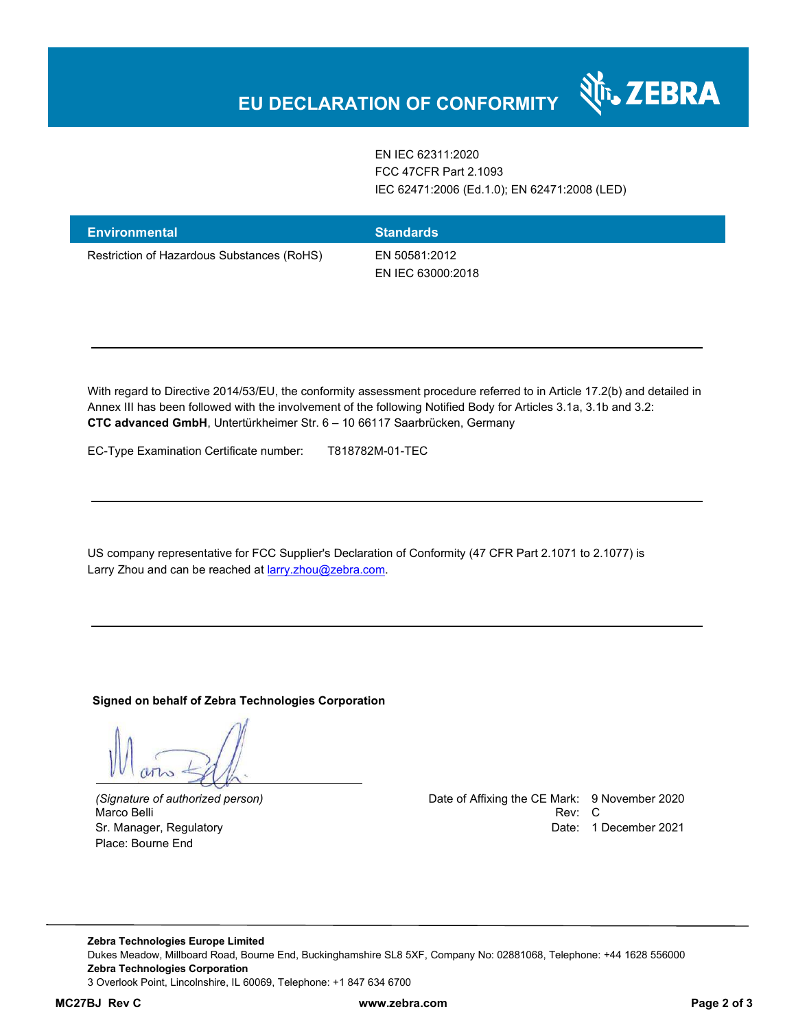EN IEC 62311:2020 FCC 47CFR Part 2.1093 IEC 62471:2006 (Ed.1.0); EN 62471:2008 (LED)

र्शे<sub>ं</sub> ZEBRA

| <b>Environmental</b>                       | <b>Standards</b>                   |
|--------------------------------------------|------------------------------------|
| Restriction of Hazardous Substances (RoHS) | EN 50581:2012<br>EN IEC 63000:2018 |

With regard to Directive 2014/53/EU, the conformity assessment procedure referred to in Article 17.2(b) and detailed in Annex III has been followed with the involvement of the following Notified Body for Articles 3.1a, 3.1b and 3.2: **CTC advanced GmbH**, Untertürkheimer Str. 6 – 10 66117 Saarbrücken, Germany

EC-Type Examination Certificate number: T818782M-01-TEC

US company representative for FCC Supplier's Declaration of Conformity (47 CFR Part 2.1071 to 2.1077) is Larry Zhou and can be reached at **larry.zhou@zebra.com.** 

**Signed on behalf of Zebra Technologies Corporation** 

Place: Bourne End

*(Signature of authorized person)* Date of Affixing the CE Mark: 9 November 2020 Marco Belli Rev: C Sr. Manager, Regulatory **Date: 1 December 2021** Control of the United States of the Date: 1 December 2021

**Zebra Technologies Europe Limited**  Dukes Meadow, Millboard Road, Bourne End, Buckinghamshire SL8 5XF, Company No: 02881068, Telephone: +44 1628 556000 **Zebra Technologies Corporation**  3 Overlook Point, Lincolnshire, IL 60069, Telephone: +1 847 634 6700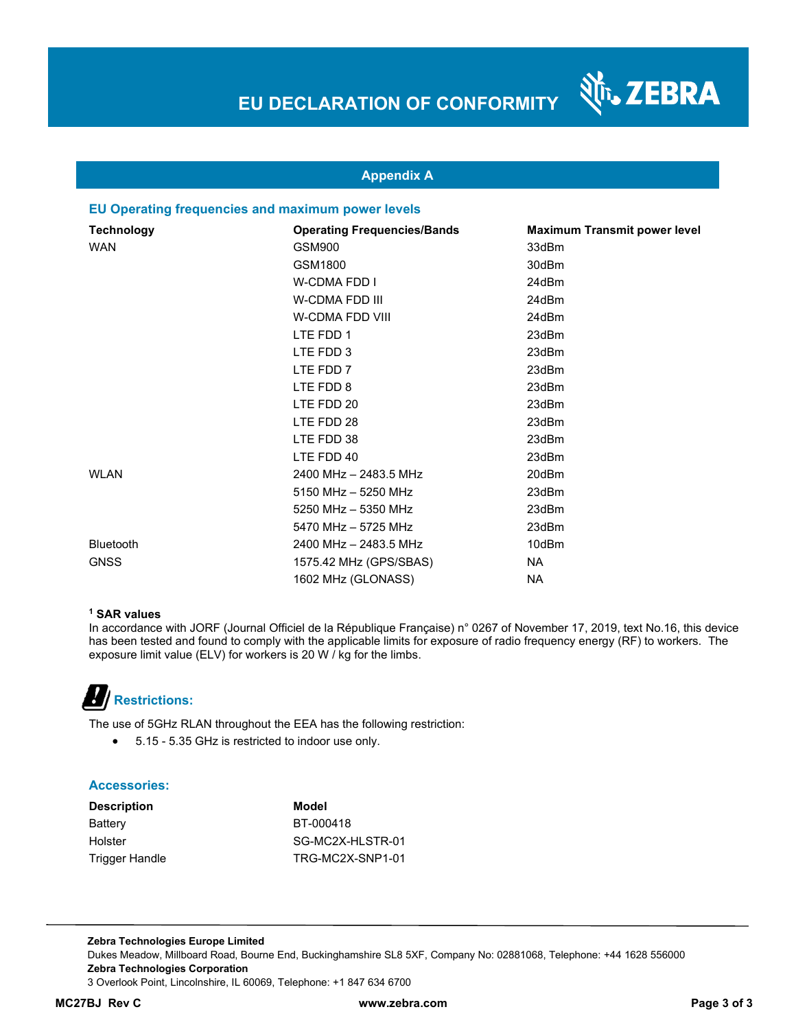N<sub>T</sub>, ZEBRA



#### **EU Operating frequencies and maximum power levels**

| <b>Technology</b> | <b>Operating Frequencies/Bands</b> | <b>Maximum Transmit power level</b> |
|-------------------|------------------------------------|-------------------------------------|
| <b>WAN</b>        | GSM900                             | 33dBm                               |
|                   | GSM1800                            | 30dBm                               |
|                   | W-CDMA FDD I                       | 24dBm                               |
|                   | W-CDMA FDD III                     | 24dBm                               |
|                   | W-CDMA FDD VIII                    | 24dBm                               |
|                   | LTE FDD 1                          | 23dBm                               |
|                   | LTE FDD 3                          | 23dBm                               |
|                   | LTE FDD 7                          | 23dBm                               |
|                   | LTE FDD 8                          | 23dBm                               |
|                   | LTE FDD 20                         | 23dBm                               |
|                   | LTE FDD 28                         | 23dBm                               |
|                   | LTE FDD 38                         | 23dBm                               |
|                   | LTE FDD 40                         | 23dBm                               |
| <b>WLAN</b>       | 2400 MHz - 2483.5 MHz              | 20dBm                               |
|                   | 5150 MHz - 5250 MHz                | 23dBm                               |
|                   | 5250 MHz - 5350 MHz                | 23dBm                               |
|                   | 5470 MHz - 5725 MHz                | 23dBm                               |
| <b>Bluetooth</b>  | 2400 MHz - 2483.5 MHz              | 10dBm                               |
| <b>GNSS</b>       | 1575.42 MHz (GPS/SBAS)             | NA                                  |
|                   | 1602 MHz (GLONASS)                 | NA.                                 |

#### **1 SAR values**

In accordance with JORF (Journal Officiel de la République Française) n° 0267 of November 17, 2019, text No.16, this device has been tested and found to comply with the applicable limits for exposure of radio frequency energy (RF) to workers. The exposure limit value (ELV) for workers is 20 W / kg for the limbs.

# **Restrictions:**

The use of 5GHz RLAN throughout the EEA has the following restriction:

5.15 - 5.35 GHz is restricted to indoor use only.

#### **Accessories:**

| <b>Description</b> | Model            |
|--------------------|------------------|
| Battery            | BT-000418        |
| Holster            | SG-MC2X-HLSTR-01 |
| Trigger Handle     | TRG-MC2X-SNP1-01 |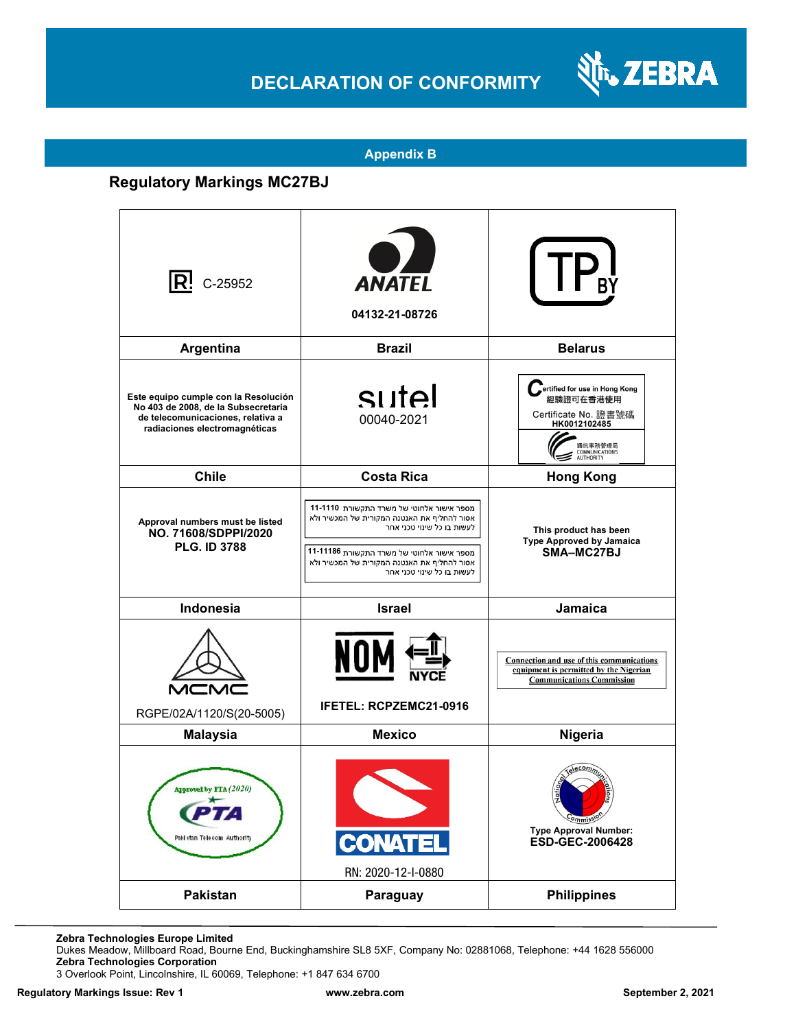## **DECLARATION OF CONFORMITY**



#### **Appendix B**

### **Regulatory Markings MC27BJ**

| $ {\sf R}$ ! C-25952                                                                                                                              | <b>ANATEL</b><br>04132-21-08726                                                                                                                                                                                                                   |                                                                                                                                     |
|---------------------------------------------------------------------------------------------------------------------------------------------------|---------------------------------------------------------------------------------------------------------------------------------------------------------------------------------------------------------------------------------------------------|-------------------------------------------------------------------------------------------------------------------------------------|
| Argentina                                                                                                                                         | <b>Brazil</b>                                                                                                                                                                                                                                     | <b>Belarus</b>                                                                                                                      |
| Este equipo cumple con la Resolución<br>No 403 de 2008, de la Subsecretaria<br>de telecomunicaciones, relativa a<br>radiaciones electromagnéticas | sutel<br>00040-2021                                                                                                                                                                                                                               | ertified for use in Hong Kong<br>經驗證可在香港使用<br>Certificate No. 證書號碼<br>HK0012102485<br>通訊事務管理局<br>COMMUNICATIONS<br><b>AUTHORITY</b> |
| <b>Chile</b>                                                                                                                                      | <b>Costa Rica</b>                                                                                                                                                                                                                                 | <b>Hong Kong</b>                                                                                                                    |
| Approval numbers must be listed<br>NO. 71608/SDPPI/2020<br><b>PLG. ID 3788</b>                                                                    | מספר אישור אלחוטי של משרד התקשורת 11-1110<br>אסור להחליף את האנטנה המקורית של המכשיר ולא<br>לעשות בו כל שינוי טכני אחר<br>מספר אישור אלחוטי של משרד התקשורת 11-11186<br>אסור להחליף את האנטנה המקורית של המכשיר ולא<br>לעשות בו כל שינוי טכני אחר | This product has been<br>Type Approved by Jamaica<br>SMA-MC27BJ                                                                     |
| Indonesia                                                                                                                                         | <b>Israel</b>                                                                                                                                                                                                                                     | Jamaica                                                                                                                             |
| RGPE/02A/1120/S(20-5005)                                                                                                                          | NOI<br><b>IFETEL: RCPZEMC21-0916</b>                                                                                                                                                                                                              | Connection and use of this communications<br>equipment is permitted by the Nigerian<br><b>Communications Commission</b>             |
| <b>Malaysia</b>                                                                                                                                   | <b>Mexico</b>                                                                                                                                                                                                                                     | Nigeria                                                                                                                             |
| Approved by PTA (2020)<br>Paki stan Telecom Authority                                                                                             | <b>CONATEL</b><br>RN: 2020-12-I-0880                                                                                                                                                                                                              | commiss<br><b>Type Approval Number:</b><br>ESD-GEC-2006428                                                                          |
| Pakistan                                                                                                                                          | Paraguay                                                                                                                                                                                                                                          | <b>Philippines</b>                                                                                                                  |

**Zebra Technologies Europe Limited**

Dukes Meadow, Millboard Road, Bourne End, Buckinghamshire SL8 5XF, Company No: 02881068, Telephone: +44 1628 556000 **Zebra Technologies Corporation** 

3 Overlook Point, Lincolnshire, IL 60069, Telephone: +1 847 634 6700